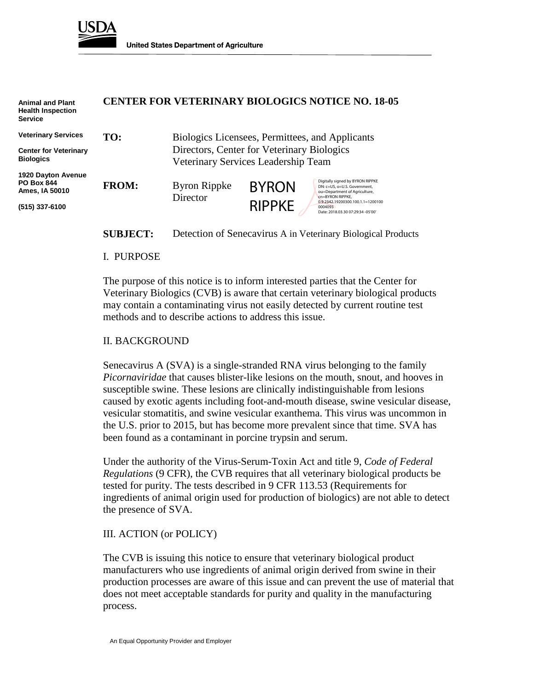

| <b>Animal and Plant</b><br><b>Health Inspection</b><br><b>Service</b> |                                            |                                                 |               | <b>CENTER FOR VETERINARY BIOLOGICS NOTICE NO. 18-05</b>                                                               |
|-----------------------------------------------------------------------|--------------------------------------------|-------------------------------------------------|---------------|-----------------------------------------------------------------------------------------------------------------------|
| <b>Veterinary Services</b>                                            | TO:                                        | Biologics Licensees, Permittees, and Applicants |               |                                                                                                                       |
| <b>Center for Veterinary</b><br><b>Biologics</b>                      | Directors, Center for Veterinary Biologics |                                                 |               |                                                                                                                       |
|                                                                       |                                            | Veterinary Services Leadership Team             |               |                                                                                                                       |
| 1920 Dayton Avenue<br><b>PO Box 844</b><br>Ames, IA 50010             | <b>FROM:</b>                               | <b>Byron Rippke</b>                             | <b>BYRON</b>  | Digitally signed by BYRON RIPPKE<br>DN: c=US, o=U.S. Government.<br>ou=Department of Agriculture,<br>cn=BYRON RIPPKE. |
| (515) 337-6100                                                        |                                            | Director                                        | <b>RIPPKE</b> | 0.9.2342.19200300.100.1.1=1200100<br>0004093<br>Date: 2018.03.30 07:29:34 -05'00'                                     |

**SUBJECT:** Detection of Senecavirus A in Veterinary Biological Products

#### I. PURPOSE

The purpose of this notice is to inform interested parties that the Center for Veterinary Biologics (CVB) is aware that certain veterinary biological products may contain a contaminating virus not easily detected by current routine test methods and to describe actions to address this issue.

### II. BACKGROUND

Senecavirus A (SVA) is a single-stranded RNA virus belonging to the family *Picornaviridae* that causes blister-like lesions on the mouth, snout, and hooves in susceptible swine. These lesions are clinically indistinguishable from lesions caused by exotic agents including foot-and-mouth disease, swine vesicular disease, vesicular stomatitis, and swine vesicular exanthema. This virus was uncommon in the U.S. prior to 2015, but has become more prevalent since that time. SVA has been found as a contaminant in porcine trypsin and serum.

Under the authority of the Virus-Serum-Toxin Act and title 9, *Code of Federal Regulations* (9 CFR), the CVB requires that all veterinary biological products be tested for purity. The tests described in 9 CFR 113.53 (Requirements for ingredients of animal origin used for production of biologics) are not able to detect the presence of SVA.

### III. ACTION (or POLICY)

The CVB is issuing this notice to ensure that veterinary biological product manufacturers who use ingredients of animal origin derived from swine in their production processes are aware of this issue and can prevent the use of material that does not meet acceptable standards for purity and quality in the manufacturing process.